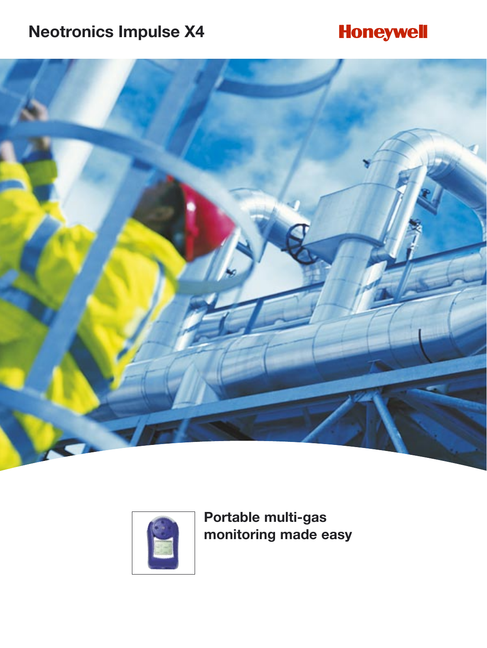# **Neotronics Impulse X4**

# **Honeywell**





**Portable multi-gas monitoring made easy**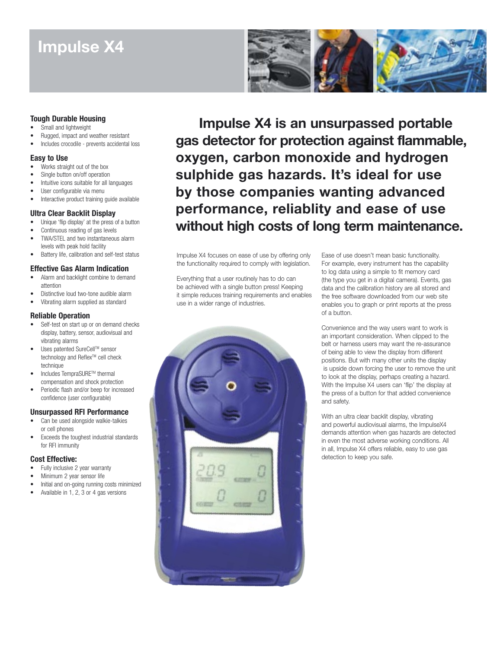# **Impulse X4**



### **Tough Durable Housing**

- Small and lightweight
- Rugged, impact and weather resistant
- Includes crocodile prevents accidental loss

### **Easy to Use**

- Works straight out of the box
- Single button on/off operation
- Intuitive icons suitable for all languages
- User configurable via menu
- Interactive product training quide available

### **Ultra Clear Backlit Display**

- Unique 'flip display' at the press of a button
- Continuous reading of gas levels
- TWA/STEL and two instantaneous alarm
- levels with peak hold facility Battery life, calibration and self-test status

### **Effective Gas Alarm Indication**

- Alarm and backlight combine to demand attention
- Distinctive loud two-tone audible alarm
- Vibrating alarm supplied as standard

### **Reliable Operation**

- Self-test on start up or on demand checks display, battery, sensor, audiovisual and vibrating alarms
- Uses patented SureCell™ sensor technology and Reflex™ cell check technique
- Includes TempraSURETM thermal compensation and shock protection
- Periodic flash and/or beep for increased confidence (user configurable)

### **Unsurpassed RFI Performance**

- Can be used alongside walkie-talkies or cell phones
- Exceeds the toughest industrial standards for RFI immunity

### **Cost Effective:**

- Fully inclusive 2 year warranty
- Minimum 2 year sensor life
- Initial and on-going running costs minimized
- Available in 1, 2, 3 or 4 gas versions

**Impulse X4 is an unsurpassed portable gas detector for protection against flammable, oxygen, carbon monoxide and hydrogen sulphide gas hazards. It's ideal for use by those companies wanting advanced performance, reliablity and ease of use without high costs of long term maintenance.**

Impulse X4 focuses on ease of use by offering only the functionality required to comply with legislation.

Everything that a user routinely has to do can be achieved with a single button press! Keeping it simple reduces training requirements and enables use in a wider range of industries.



Ease of use doesn't mean basic functionality. For example, every instrument has the capability to log data using a simple to fit memory card (the type you get in a digital camera). Events, gas data and the calibration history are all stored and the free software downloaded from our web site enables you to graph or print reports at the press of a button.

Convenience and the way users want to work is an important consideration. When clipped to the belt or harness users may want the re-assurance of being able to view the display from different positions. But with many other units the display is upside down forcing the user to remove the unit to look at the display, perhaps creating a hazard. With the Impulse X4 users can 'flip' the display at the press of a button for that added convenience and safety.

With an ultra clear backlit display, vibrating and powerful audiovisual alarms, the ImpulseX4 demands attention when gas hazards are detected in even the most adverse working conditions. All in all, Impulse X4 offers reliable, easy to use gas detection to keep you safe.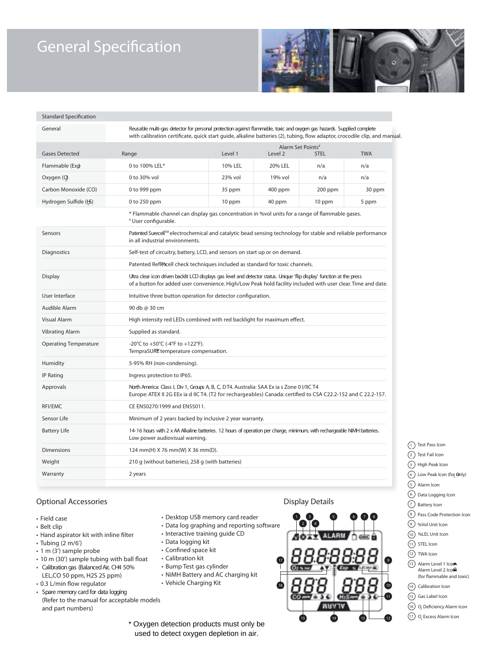# **General Specification**



#### **Standard Specification**

| General                      | Reusable multi-gas detector for personal protection against flammable, toxic and oxygen gas hazards. Supplied complete<br>with calibration certificate, quick start quide, alkaline batteries (2), tubing, flow adaptor, crocodile clip, and manual. |         |                                                           |         |        |
|------------------------------|------------------------------------------------------------------------------------------------------------------------------------------------------------------------------------------------------------------------------------------------------|---------|-----------------------------------------------------------|---------|--------|
| <b>Gases Detected</b>        | Range                                                                                                                                                                                                                                                | Level 1 | Alarm Set Points#<br><b>TWA</b><br><b>STEL</b><br>Level 2 |         |        |
| Flammable (Exp               | 0 to 100% LEL*                                                                                                                                                                                                                                       | 10% LEL | 20% LEL                                                   | n/a     | n/a    |
| Oxygen (Q)                   | 0 to 30% vol                                                                                                                                                                                                                                         | 23% vol | 19% vol                                                   | n/a     | n/a    |
| Carbon Monoxide (CO)         | 0 to 999 ppm                                                                                                                                                                                                                                         | 35 ppm  | $400$ ppm                                                 | 200 ppm | 30 ppm |
| Hydrogen Sulfide (5)         | 0 to 250 ppm                                                                                                                                                                                                                                         | 10 ppm  | 40 ppm                                                    | 10 ppm  | 5 ppm  |
|                              | * Flammable channel can display gas concentration in % vol units for a range of flammable gases.<br># User configurable.                                                                                                                             |         |                                                           |         |        |
| Sensors                      | Patented Surecell™ electrochemical and catalytic bead sensing technology for stable and reliable performance<br>in all industrial environments.                                                                                                      |         |                                                           |         |        |
| Diagnostics                  | Self-test of circuitry, battery, LCD, and sensors on start up or on demand.                                                                                                                                                                          |         |                                                           |         |        |
|                              | Patented Reflexcell check techniques included as standard for toxic channels.                                                                                                                                                                        |         |                                                           |         |        |
| <b>Display</b>               | Utra clear icon driven backlit LCD displays gas level and detector status. Unique 'flip display' function at the press<br>of a button for added user convenience. High/Low Peak hold facility included with user clear. Time and date.               |         |                                                           |         |        |
| User Interface               | Intuitive three button operation for detector configuration.                                                                                                                                                                                         |         |                                                           |         |        |
| Audible Alarm                | 90 db @ 30 cm                                                                                                                                                                                                                                        |         |                                                           |         |        |
| Visual Alarm                 | High intensity red LEDs combined with red backlight for maximum effect.                                                                                                                                                                              |         |                                                           |         |        |
| <b>Vibrating Alarm</b>       | Supplied as standard.                                                                                                                                                                                                                                |         |                                                           |         |        |
| <b>Operating Temperature</b> | -20°C to +50°C (-4°F to +122°F).<br>TempraSURE temperature compensation.                                                                                                                                                                             |         |                                                           |         |        |
| Humidity                     | 5-95% RH (non-condensing).                                                                                                                                                                                                                           |         |                                                           |         |        |
| <b>IP Rating</b>             | Ingress protection to IP65.                                                                                                                                                                                                                          |         |                                                           |         |        |
| Approvals                    | North America: Class I, Div 1, Groups A, B, C, DT4. Australia: SAA Ex ia s Zone 0 I/IIC T4<br>Europe: ATEX II 2G EEx ia d IIC T4. (T2 for rechargeables) Canada: certified to CSA C22.2-152 and C 22.2-157.                                          |         |                                                           |         |        |
| RFI/EMC                      | CE EN50270:1999 and EN55011.                                                                                                                                                                                                                         |         |                                                           |         |        |
| Sensor Life                  | Minimum of 2 years backed by inclusive 2 year warranty.                                                                                                                                                                                              |         |                                                           |         |        |
| <b>Battery Life</b>          | 14-16 hours with 2 x AA Alkaline batteries. 12 hours of operation per charge, minimum, with rechargeable NIMH batteries.<br>Low power audiovisual warning.                                                                                           |         |                                                           |         |        |
| <b>Dimensions</b>            | 124 mm(H) X 76 mm(W) X 36 mm(D).                                                                                                                                                                                                                     |         |                                                           |         |        |
| Weight                       | 210 g (without batteries), 258 g (with batteries)                                                                                                                                                                                                    |         |                                                           |         |        |
| Warranty                     | 2 years                                                                                                                                                                                                                                              |         |                                                           |         |        |

### **Optional Accessories**

- Field case
- Belt clip
- Hand aspirator kit with inline filter
- Tubing (2 m/6')
- 1 m (3') sample probe
- 10 m (30') sample tubing with ball float
- Calibration gas (Balanced Air, CH4 50% LEL,CO 50 ppm, H2S 25 ppm)
- 0.3 L/min flow regulator
- Spare memory card for data logging (Refer to the manual for acceptable models and part numbers)
- 
- Desktop USB memory card reader • Data log graphing and reporting software
- Interactive training guide CD
- Data logging kit
- Confined space kit
- Calibration kit
- Bump Test gas cylinder
- NiMH Battery and AC charging kit
- Vehicle Charging Kit
- 12 11 0 18 8 8 9 10 11 12 13 14 15 16 17 15 14 2 | (4 13 3 5 6 7 8 9 1

**Display Details**

- 1) Test Pass Icon
- 2) Test Fail Icon
- 3 ) High Peak Icon
- $\overline{4}$  Low Peak Icon (for **O**nly)
- 5) Alarm Icon
- 6 ) Data Logging Icon
- 7 Battery Icon
- <sup>8</sup>) Pass Code Protection Icon
- 9 %Vol Unit Icon
- %LEL Unit Icon 10 11) STEL Icon
- 12) TWA Icon
- 
- 13) Alarm Level 1 Icor Alarm Level 2 Ico $\hat{\mathbf{r}}$ (for flammable and toxic)
- 14) Calibration Icon
- 15) Gas Label Icon
- 16) O<sub>2</sub> Deficiency Alarm Icon
- 17) O<sub>2</sub> Excess Alarm Icon

\* Oxygen detection products must only be used to detect oxygen depletion in air.